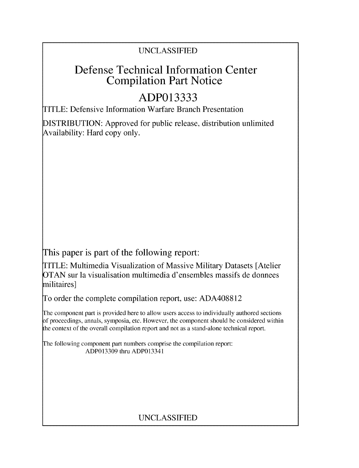### UNCLASSIFIED

## Defense Technical Information Center Compilation Part Notice

# **ADP013333**

TITLE: Defensive Information Warfare Branch Presentation

DISTRIBUTION: Approved for public release, distribution unlimited Availability: Hard copy only.

This paper is part of the following report:

TITLE: Multimedia Visualization of Massive Military Datasets [Atelier OTAN sur la visualisation multimedia d'ensembles massifs de donnees militaires]

To order the complete compilation report, use: ADA408812

The component part is provided here to allow users access to individually authored sections **)f** proceedings, annals, symposia, etc. However, the component should be considered within [he context of the overall compilation report and not as a stand-alone technical report.

The following component part numbers comprise the compilation report: ADP013309 thru ADP013341

## UNCLASSIFIED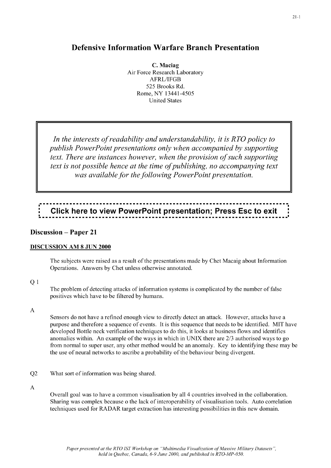#### **Defensive Information Warfare Branch Presentation**

**C. Maciag** Air Force Research Laboratory AFRL/IFGB *525* Brooks Rd. Rome, NY 13441-4505 United States

*In the interests of readability and understandability, it is R TO policy to publish PowerPoint presentations only when accompanied by supporting text. There are instances however, when the provision of such supporting text is not possible hence at the time of publishing, no accompanying text was available for the following PowerPoint presentation.*

# : **Click here to view PowerPoint presentation; Press Esc to exit** :

#### **Discussion** - **Paper 21**

#### **DISCUSSION AM 8 JUN 2000**

The subjects were raised as a result of the presentations made by Chet Macaig about Information Operations. Answers by Chet unless otherwise annotated.

#### Q<sub>1</sub>

The problem of detecting attacks of information systems is complicated by the number of false positives which have to be filtered by humans.

#### A

Sensors do not have a refined enough view to directly detect an attack. However, attacks have a purpose and therefore a sequence of events. It is this sequence that needs to be identified. MIT have developed Bottle neck verification techniques to do this, it looks at business flows and identifies anomalies within. An example of the ways in which in UNIX there are 2/3 authorised ways to go from normal to super user, any other method would be an anomaly. Key to identifying these may be the use of neural networks to ascribe a probability of the behaviour being divergent.

Q2 What sort of information was being shared.

#### A

Overall goal was to have a common visualisation by all *4* countries involved in the collaboration. Sharing was complex because o the lack of interoperability of visualisation tools. Auto correlation techniques used for RADAR target extraction has interesting possibilities in this new domain.